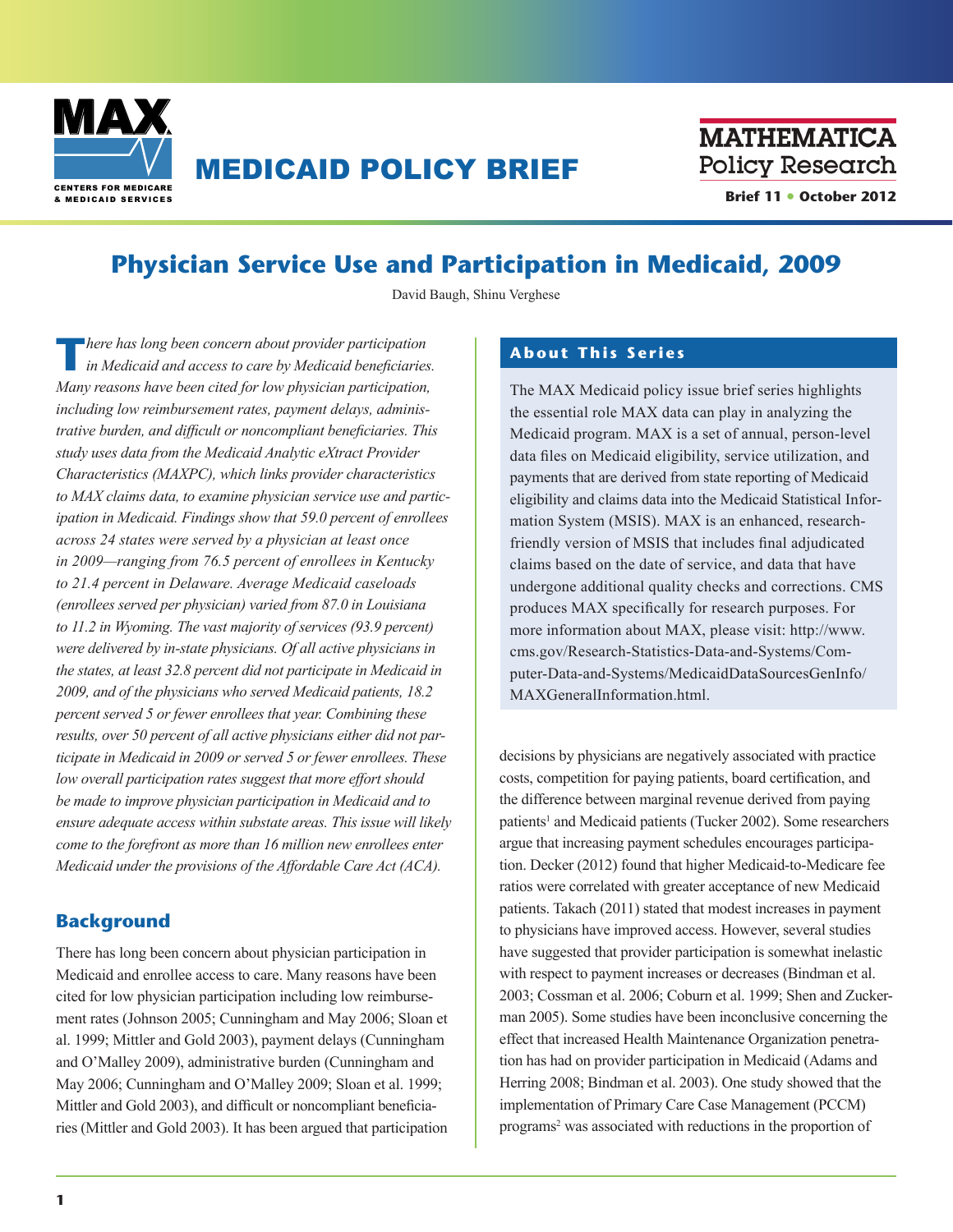

# MEDICAID POLICY BRIEF

**MATHEMATICA Policy Research** 

**Brief 11** • **October 2012**

## **Physician Service Use and Participation in Medicaid, 2009**

David Baugh, Shinu Verghese

**T***here has long been concern about provider participation in Medicaid and access to care by Medicaid beneficiaries. Many reasons have been cited for low physician participation, including low reimbursement rates, payment delays, administrative burden, and difficult or noncompliant beneficiaries. This study uses data from the Medicaid Analytic eXtract Provider Characteristics (MAXPC), which links provider characteristics to MAX claims data, to examine physician service use and participation in Medicaid. Findings show that 59.0 percent of enrollees across 24 states were served by a physician at least once in 2009—ranging from 76.5 percent of enrollees in Kentucky to 21.4 percent in Delaware. Average Medicaid caseloads (enrollees served per physician) varied from 87.0 in Louisiana to 11.2 in Wyoming. The vast majority of services (93.9 percent) were delivered by in-state physicians. Of all active physicians in the states, at least 32.8 percent did not participate in Medicaid in 2009, and of the physicians who served Medicaid patients, 18.2 percent served 5 or fewer enrollees that year. Combining these results, over 50 percent of all active physicians either did not participate in Medicaid in 2009 or served 5 or fewer enrollees. These low overall participation rates suggest that more effort should be made to improve physician participation in Medicaid and to ensure adequate access within substate areas. This issue will likely come to the forefront as more than 16 million new enrollees enter Medicaid under the provisions of the Affordable Care Act (ACA).* 

### **Background**

There has long been concern about physician participation in Medicaid and enrollee access to care. Many reasons have been cited for low physician participation including low reimbursement rates (Johnson 2005; Cunningham and May 2006; Sloan et al. 1999; Mittler and Gold 2003), payment delays (Cunningham and O'Malley 2009), administrative burden (Cunningham and May 2006; Cunningham and O'Malley 2009; Sloan et al. 1999; Mittler and Gold 2003), and difficult or noncompliant beneficiaries (Mittler and Gold 2003). It has been argued that participation

### **About This Series**

The MAX Medicaid policy issue brief series highlights the essential role MAX data can play in analyzing the Medicaid program. MAX is a set of annual, person-level data files on Medicaid eligibility, service utilization, and payments that are derived from state reporting of Medicaid eligibility and claims data into the Medicaid Statistical Information System (MSIS). MAX is an enhanced, researchfriendly version of MSIS that includes final adjudicated claims based on the date of service, and data that have undergone additional quality checks and corrections. CMS produces MAX specifically for research purposes. For more information about MAX, please visit: [http://www.](http://www.cms.gov/Research-Statistics-Data-and-Systems/Computer-Data-and-Systems/MedicaidDataSourcesGenInfo/MAXGeneralInformation.html) [cms.gov/Research-Statistics-Data-and-Systems/Com](http://www.cms.gov/Research-Statistics-Data-and-Systems/Computer-Data-and-Systems/MedicaidDataSourcesGenInfo/MAXGeneralInformation.html)[puter-Data-and-Systems/MedicaidDataSourcesGenInfo/](http://www.cms.gov/Research-Statistics-Data-and-Systems/Computer-Data-and-Systems/MedicaidDataSourcesGenInfo/MAXGeneralInformation.html) [MAXGeneralInformation.html.](http://www.cms.gov/Research-Statistics-Data-and-Systems/Computer-Data-and-Systems/MedicaidDataSourcesGenInfo/MAXGeneralInformation.html)

decisions by physicians are negatively associated with practice costs, competition for paying patients, board certification, and the difference between marginal revenue derived from paying patients<sup>1</sup> and Medicaid patients (Tucker 2002). Some researchers argue that increasing payment schedules encourages participation. Decker (2012) found that higher Medicaid-to-Medicare fee ratios were correlated with greater acceptance of new Medicaid patients. Takach (2011) stated that modest increases in payment to physicians have improved access. However, several studies have suggested that provider participation is somewhat inelastic with respect to payment increases or decreases (Bindman et al. 2003; Cossman et al. 2006; Coburn et al. 1999; Shen and Zuckerman 2005). Some studies have been inconclusive concerning the effect that increased Health Maintenance Organization penetration has had on provider participation in Medicaid (Adams and Herring 2008; Bindman et al. 2003). One study showed that the implementation of Primary Care Case Management (PCCM) programs<sup>2</sup> was associated with reductions in the proportion of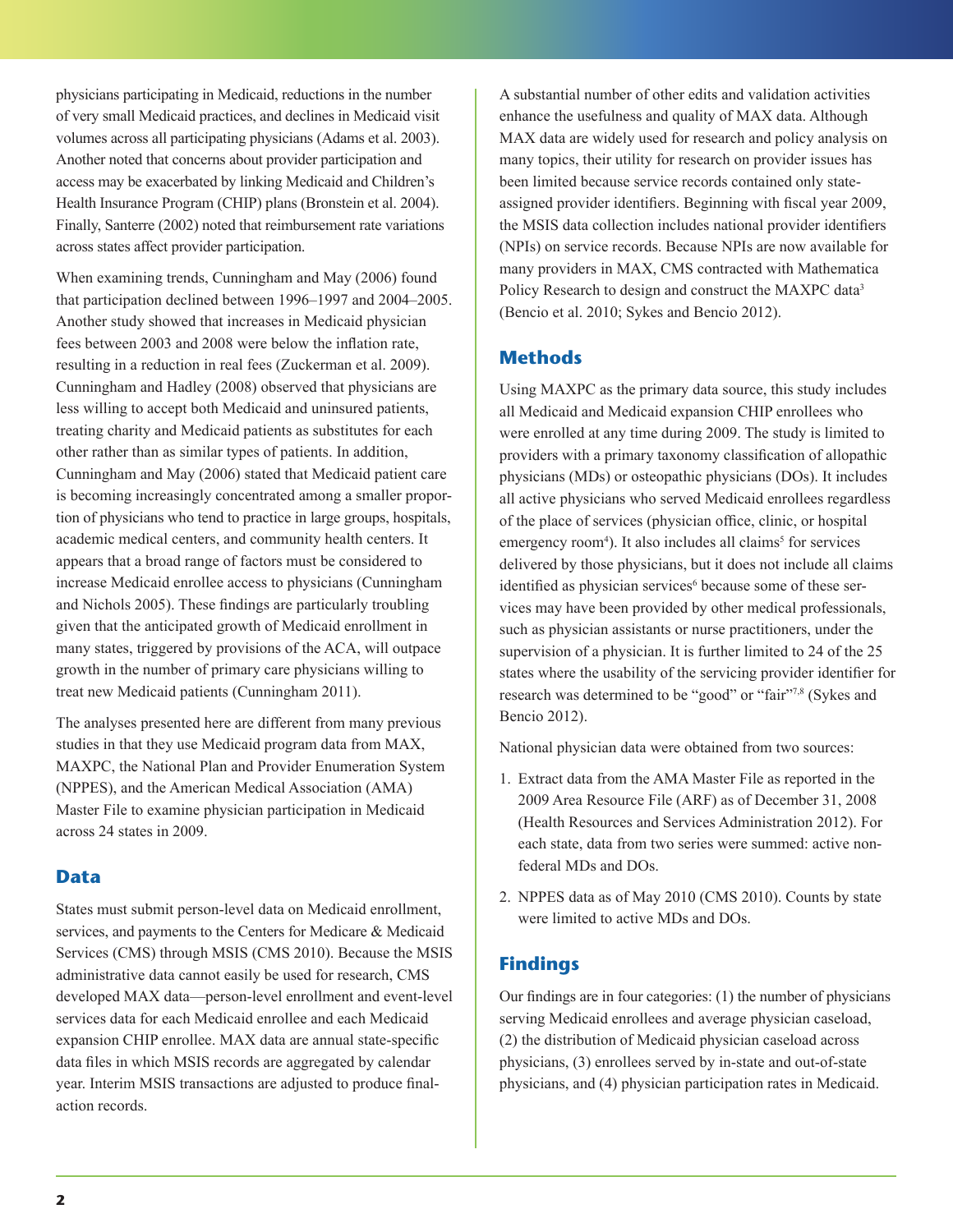physicians participating in Medicaid, reductions in the number of very small Medicaid practices, and declines in Medicaid visit volumes across all participating physicians (Adams et al. 2003). Another noted that concerns about provider participation and access may be exacerbated by linking Medicaid and Children's Health Insurance Program (CHIP) plans (Bronstein et al. 2004). Finally, Santerre (2002) noted that reimbursement rate variations across states affect provider participation.

When examining trends, Cunningham and May (2006) found that participation declined between 1996–1997 and 2004–2005. Another study showed that increases in Medicaid physician fees between 2003 and 2008 were below the inflation rate, resulting in a reduction in real fees (Zuckerman et al. 2009). Cunningham and Hadley (2008) observed that physicians are less willing to accept both Medicaid and uninsured patients, treating charity and Medicaid patients as substitutes for each other rather than as similar types of patients. In addition, Cunningham and May (2006) stated that Medicaid patient care is becoming increasingly concentrated among a smaller proportion of physicians who tend to practice in large groups, hospitals, academic medical centers, and community health centers. It appears that a broad range of factors must be considered to increase Medicaid enrollee access to physicians (Cunningham and Nichols 2005). These findings are particularly troubling given that the anticipated growth of Medicaid enrollment in many states, triggered by provisions of the ACA, will outpace growth in the number of primary care physicians willing to treat new Medicaid patients (Cunningham 2011).

The analyses presented here are different from many previous studies in that they use Medicaid program data from MAX, MAXPC, the National Plan and Provider Enumeration System (NPPES), and the American Medical Association (AMA) Master File to examine physician participation in Medicaid across 24 states in 2009.

### **Data**

States must submit person-level data on Medicaid enrollment, services, and payments to the Centers for Medicare & Medicaid Services (CMS) through MSIS (CMS 2010). Because the MSIS administrative data cannot easily be used for research, CMS developed MAX data—person-level enrollment and event-level services data for each Medicaid enrollee and each Medicaid expansion CHIP enrollee. MAX data are annual state-specific data files in which MSIS records are aggregated by calendar year. Interim MSIS transactions are adjusted to produce finalaction records.

A substantial number of other edits and validation activities enhance the usefulness and quality of MAX data. Although MAX data are widely used for research and policy analysis on many topics, their utility for research on provider issues has been limited because service records contained only stateassigned provider identifiers. Beginning with fiscal year 2009, the MSIS data collection includes national provider identifiers (NPIs) on service records. Because NPIs are now available for many providers in MAX, CMS contracted with Mathematica Policy Research to design and construct the MAXPC data<sup>3</sup> (Bencio et al. 2010; Sykes and Bencio 2012).

### **Methods**

Using MAXPC as the primary data source, this study includes all Medicaid and Medicaid expansion CHIP enrollees who were enrolled at any time during 2009. The study is limited to providers with a primary taxonomy classification of allopathic physicians (MDs) or osteopathic physicians (DOs). It includes all active physicians who served Medicaid enrollees regardless of the place of services (physician office, clinic, or hospital emergency room<sup>4</sup>). It also includes all claims<sup>5</sup> for services delivered by those physicians, but it does not include all claims identified as physician services<sup>6</sup> because some of these services may have been provided by other medical professionals, such as physician assistants or nurse practitioners, under the supervision of a physician. It is further limited to 24 of the 25 states where the usability of the servicing provider identifier for research was determined to be "good" or "fair"7,8 (Sykes and Bencio 2012).

National physician data were obtained from two sources:

- 1. Extract data from the AMA Master File as reported in the 2009 Area Resource File (ARF) as of December 31, 2008 (Health Resources and Services Administration 2012). For each state, data from two series were summed: active nonfederal MDs and DOs.
- 2. NPPES data as of May 2010 (CMS 2010). Counts by state were limited to active MDs and DOs.

### **Findings**

Our findings are in four categories: (1) the number of physicians serving Medicaid enrollees and average physician caseload, (2) the distribution of Medicaid physician caseload across physicians, (3) enrollees served by in-state and out-of-state physicians, and (4) physician participation rates in Medicaid.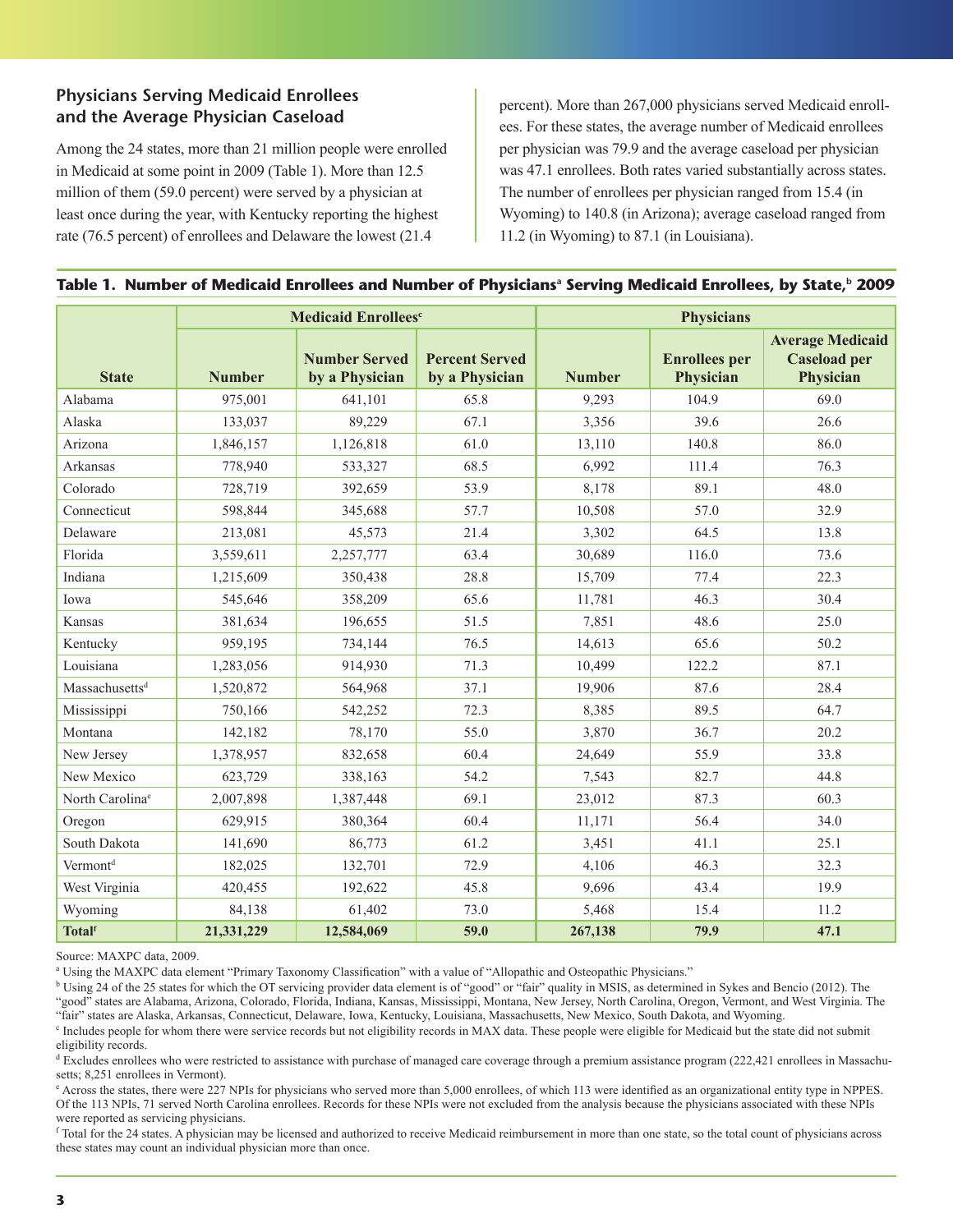### **Physicians Serving Medicaid Enrollees and the Average Physician Caseload**

Among the 24 states, more than 21 million people were enrolled in Medicaid at some point in 2009 (Table 1). More than 12.5 million of them (59.0 percent) were served by a physician at least once during the year, with Kentucky reporting the highest rate (76.5 percent) of enrollees and Delaware the lowest (21.4

percent). More than 267,000 physicians served Medicaid enrollees. For these states, the average number of Medicaid enrollees per physician was 79.9 and the average caseload per physician was 47.1 enrollees. Both rates varied substantially across states. The number of enrollees per physician ranged from 15.4 (in Wyoming) to 140.8 (in Arizona); average caseload ranged from 11.2 (in Wyoming) to 87.1 (in Louisiana).

|                             |               | <b>Medicaid Enrollees</b> c            |                                         | <b>Physicians</b> |                                   |                                                             |  |  |
|-----------------------------|---------------|----------------------------------------|-----------------------------------------|-------------------|-----------------------------------|-------------------------------------------------------------|--|--|
| <b>State</b>                | <b>Number</b> | <b>Number Served</b><br>by a Physician | <b>Percent Served</b><br>by a Physician | <b>Number</b>     | <b>Enrollees</b> per<br>Physician | <b>Average Medicaid</b><br><b>Caseload per</b><br>Physician |  |  |
| Alabama                     | 975,001       | 641,101                                | 65.8                                    | 9,293             | 104.9                             | 69.0                                                        |  |  |
| Alaska                      | 133,037       | 89,229                                 | 67.1                                    | 3,356             | 39.6                              | 26.6                                                        |  |  |
| Arizona                     | 1,846,157     | 1,126,818                              | 61.0                                    | 13,110            | 140.8                             | 86.0                                                        |  |  |
| Arkansas                    | 778,940       | 533,327                                | 68.5                                    | 6,992             | 111.4                             | 76.3                                                        |  |  |
| Colorado                    | 728,719       | 392,659                                | 53.9                                    | 8,178             | 89.1                              | 48.0                                                        |  |  |
| Connecticut                 | 598,844       | 345,688                                | 57.7                                    | 10,508            | 57.0                              | 32.9                                                        |  |  |
| Delaware                    | 213,081       | 45,573                                 | 21.4                                    | 3,302             | 64.5                              | 13.8                                                        |  |  |
| Florida                     | 3,559,611     | 2,257,777                              | 63.4                                    | 30,689            | 116.0                             | 73.6                                                        |  |  |
| Indiana                     | 1,215,609     | 350,438                                | 28.8                                    | 15,709            | 77.4                              | 22.3                                                        |  |  |
| Iowa                        | 545,646       | 358,209                                | 65.6                                    | 11,781            | 46.3                              | 30.4                                                        |  |  |
| Kansas                      | 381,634       | 196,655                                | 51.5                                    | 7,851             | 48.6                              | 25.0                                                        |  |  |
| Kentucky                    | 959,195       | 734,144                                | 76.5                                    | 14,613            | 65.6                              | 50.2                                                        |  |  |
| Louisiana                   | 1,283,056     | 914,930                                | 71.3                                    | 10,499            | 122.2                             | 87.1                                                        |  |  |
| Massachusetts <sup>d</sup>  | 1,520,872     | 564,968                                | 37.1                                    | 19,906            | 87.6                              | 28.4                                                        |  |  |
| Mississippi                 | 750,166       | 542,252                                | 72.3                                    | 8,385             | 89.5                              | 64.7                                                        |  |  |
| Montana                     | 142,182       | 78,170                                 | 55.0                                    | 3,870             | 36.7                              | 20.2                                                        |  |  |
| New Jersey                  | 1,378,957     | 832,658                                | 60.4                                    | 24,649            | 55.9                              | 33.8                                                        |  |  |
| New Mexico                  | 623,729       | 338,163                                | 54.2                                    | 7,543             | 82.7                              | 44.8                                                        |  |  |
| North Carolina <sup>e</sup> | 2,007,898     | 1,387,448                              | 69.1                                    | 23,012            | 87.3                              | 60.3                                                        |  |  |
| Oregon                      | 629,915       | 380,364                                | 60.4                                    | 11,171            | 56.4                              | 34.0                                                        |  |  |
| South Dakota                | 141,690       | 86,773                                 | 61.2                                    | 3,451             | 41.1                              | 25.1                                                        |  |  |
| Vermont <sup>d</sup>        | 182,025       | 132,701                                | 72.9                                    | 4,106             | 46.3                              | 32.3                                                        |  |  |
| West Virginia               | 420,455       | 192,622                                | 45.8                                    | 9,696             | 43.4                              | 19.9                                                        |  |  |
| Wyoming                     | 84,138        | 61,402                                 | 73.0                                    | 5,468             | 15.4                              | 11.2                                                        |  |  |
| <b>Totalf</b>               | 21,331,229    | 12,584,069                             | 59.0                                    | 267,138           | 79.9                              | 47.1                                                        |  |  |

### **Table 1. Number of Medicaid Enrollees and Number of Physicians<sup>a</sup> Serving Medicaid Enrollees, by State,<sup>b</sup> 2009**

Source: MAXPC data, 2009.

a Using the MAXPC data element "Primary Taxonomy Classification" with a value of "Allopathic and Osteopathic Physicians."

<sup>b</sup> Using 24 of the 25 states for which the OT servicing provider data element is of "good" or "fair" quality in MSIS, as determined in Sykes and Bencio (2012). The "good" states are Alabama, Arizona, Colorado, Florida, Indiana, Kansas, Mississippi, Montana, New Jersey, North Carolina, Oregon, Vermont, and West Virginia. The "fair" states are Alaska, Arkansas, Connecticut, Delaware, Iowa, Kentucky, Louisiana, Massachusetts, New Mexico, South Dakota, and Wyoming.

<sup>c</sup> Includes people for whom there were service records but not eligibility records in MAX data. These people were eligible for Medicaid but the state did not submit eligibility records.

<sup>d</sup> Excludes enrollees who were restricted to assistance with purchase of managed care coverage through a premium assistance program (222,421 enrollees in Massachusetts; 8,251 enrollees in Vermont).

<sup>e</sup> Across the states, there were 227 NPIs for physicians who served more than 5,000 enrollees, of which 113 were identified as an organizational entity type in NPPES. Of the 113 NPIs, 71 served North Carolina enrollees. Records for these NPIs were not excluded from the analysis because the physicians associated with these NPIs were reported as servicing physicians.

f Total for the 24 states. A physician may be licensed and authorized to receive Medicaid reimbursement in more than one state, so the total count of physicians across these states may count an individual physician more than once.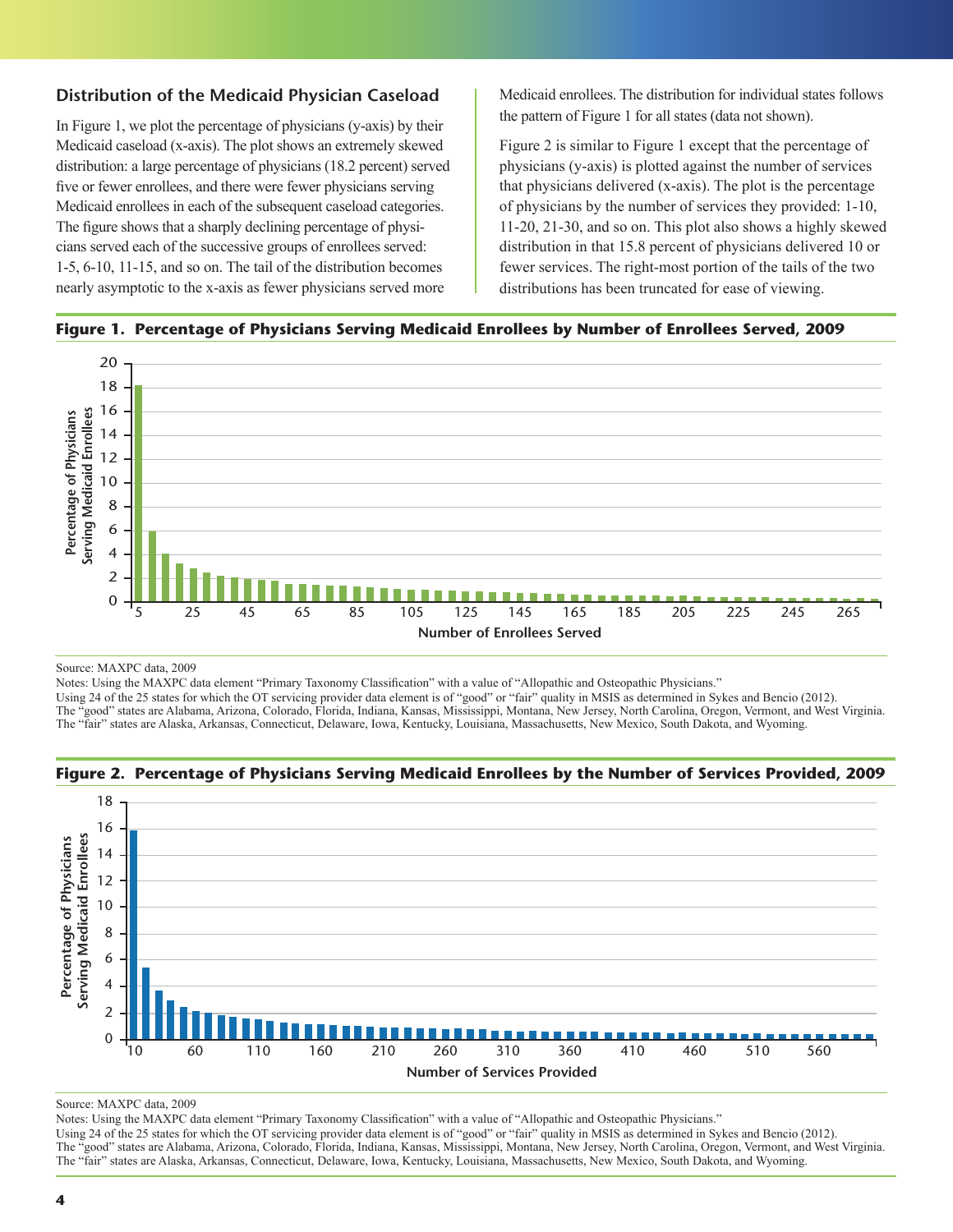### **Distribution of the Medicaid Physician Caseload**

In Figure 1, we plot the percentage of physicians (y-axis) by their Medicaid caseload (x-axis). The plot shows an extremely skewed distribution: a large percentage of physicians (18.2 percent) served five or fewer enrollees, and there were fewer physicians serving Medicaid enrollees in each of the subsequent caseload categories. The figure shows that a sharply declining percentage of physicians served each of the successive groups of enrollees served: 1-5, 6-10, 11-15, and so on. The tail of the distribution becomes nearly asymptotic to the x-axis as fewer physicians served more

Medicaid enrollees. The distribution for individual states follows the pattern of Figure 1 for all states (data not shown).

Figure 2 is similar to Figure 1 except that the percentage of physicians (y-axis) is plotted against the number of services that physicians delivered (x-axis). The plot is the percentage of physicians by the number of services they provided: 1-10, 11-20, 21-30, and so on. This plot also shows a highly skewed distribution in that 15.8 percent of physicians delivered 10 or fewer services. The right-most portion of the tails of the two distributions has been truncated for ease of viewing.





Source: MAXPC data, 2009

Notes: Using the MAXPC data element "Primary Taxonomy Classification" with a value of "Allopathic and Osteopathic Physicians." Using 24 of the 25 states for which the OT servicing provider data element is of "good" or "fair" quality in MSIS as determined in Sykes and Bencio (2012).

The "good" states are Alabama, Arizona, Colorado, Florida, Indiana, Kansas, Mississippi, Montana, New Jersey, North Carolina, Oregon, Vermont, and West Virginia. The "fair" states are Alaska, Arkansas, Connecticut, Delaware, Iowa, Kentucky, Louisiana, Massachusetts, New Mexico, South Dakota, and Wyoming.



**Figure 2. Percentage of Physicians Serving Medicaid Enrollees by the Number of Services Provided, 2009** 

#### Source: MAXPC data, 2009

Notes: Using the MAXPC data element "Primary Taxonomy Classification" with a value of "Allopathic and Osteopathic Physicians."

Using 24 of the 25 states for which the OT servicing provider data element is of "good" or "fair" quality in MSIS as determined in Sykes and Bencio (2012). The "good" states are Alabama, Arizona, Colorado, Florida, Indiana, Kansas, Mississippi, Montana, New Jersey, North Carolina, Oregon, Vermont, and West Virginia. The "fair" states are Alaska, Arkansas, Connecticut, Delaware, Iowa, Kentucky, Louisiana, Massachusetts, New Mexico, South Dakota, and Wyoming.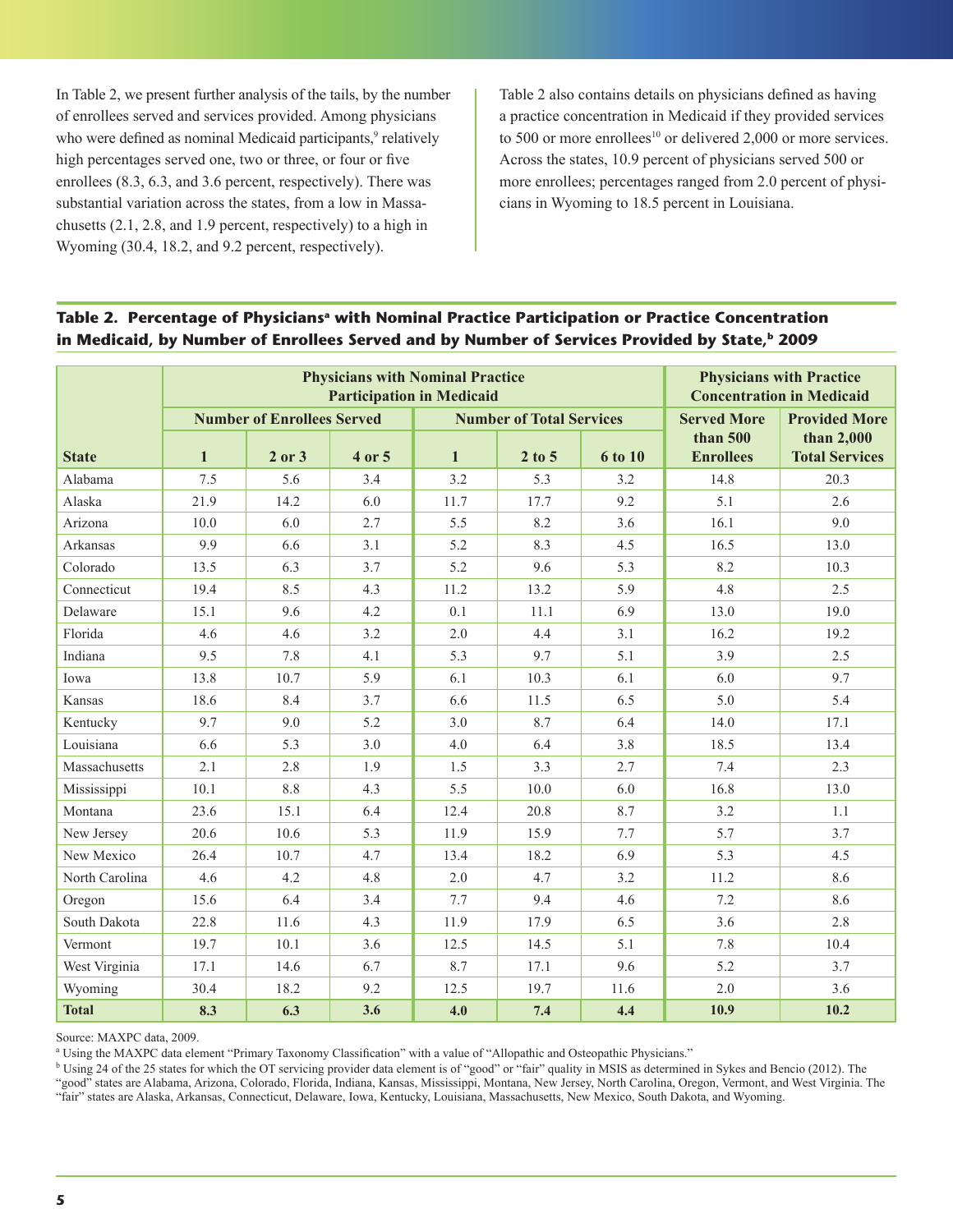In Table 2, we present further analysis of the tails, by the number of enrollees served and services provided. Among physicians who were defined as nominal Medicaid participants,<sup>9</sup> relatively high percentages served one, two or three, or four or five enrollees (8.3, 6.3, and 3.6 percent, respectively). There was substantial variation across the states, from a low in Massachusetts (2.1, 2.8, and 1.9 percent, respectively) to a high in Wyoming (30.4, 18.2, and 9.2 percent, respectively).

Table 2 also contains details on physicians defined as having a practice concentration in Medicaid if they provided services to 500 or more enrollees<sup>10</sup> or delivered 2,000 or more services. Across the states, 10.9 percent of physicians served 500 or more enrollees; percentages ranged from 2.0 percent of physicians in Wyoming to 18.5 percent in Louisiana.

### Table 2. Percentage of Physicians<sup>a</sup> with Nominal Practice Participation or Practice Concentration in Medicaid, by Number of Enrollees Served and by Number of Services Provided by State,<sup>b</sup> 2009

|                 |                                   | <b>Physicians with Nominal Practice</b><br><b>Participation in Medicaid</b> | <b>Physicians with Practice</b><br><b>Concentration in Medicaid</b> |              |                                 |                |                                |                                     |
|-----------------|-----------------------------------|-----------------------------------------------------------------------------|---------------------------------------------------------------------|--------------|---------------------------------|----------------|--------------------------------|-------------------------------------|
|                 | <b>Number of Enrollees Served</b> |                                                                             |                                                                     |              | <b>Number of Total Services</b> |                | <b>Served More</b>             | <b>Provided More</b>                |
| <b>State</b>    | $\mathbf{1}$                      | $2$ or $3$                                                                  | 4 or 5                                                              | $\mathbf{1}$ | $2$ to 5                        | <b>6 to 10</b> | than $500$<br><b>Enrollees</b> | than 2,000<br><b>Total Services</b> |
| Alabama         | 7.5                               | 5.6                                                                         | 3.4                                                                 | 3.2          | 5.3                             | 3.2            | 14.8                           | 20.3                                |
| Alaska          | 21.9                              | 14.2                                                                        | 6.0                                                                 | 11.7         | 17.7                            | 9.2            | 5.1                            | 2.6                                 |
| Arizona         | 10.0                              | 6.0                                                                         | 2.7                                                                 | 5.5          | 8.2                             | 3.6            | 16.1                           | 9.0                                 |
| <b>Arkansas</b> | 9.9                               | 6.6                                                                         | 3.1                                                                 | 5.2          | 8.3                             | 4.5            | 16.5                           | 13.0                                |
| Colorado        | 13.5                              | 6.3                                                                         | 3.7                                                                 | 5.2          | 9.6                             | 5.3            | 8.2                            | 10.3                                |
| Connecticut     | 19.4                              | 8.5                                                                         | 4.3                                                                 | 11.2         | 13.2                            | 5.9            | 4.8                            | 2.5                                 |
| Delaware        | 15.1                              | 9.6                                                                         | 4.2                                                                 | 0.1          | 11.1                            | 6.9            | 13.0                           | 19.0                                |
| Florida         | 4.6                               | 4.6                                                                         | 3.2                                                                 | 2.0          | 4.4                             | 3.1            | 16.2                           | 19.2                                |
| Indiana         | 9.5                               | 7.8                                                                         | 4.1                                                                 | 5.3          | 9.7                             | 5.1            | 3.9                            | 2.5                                 |
| Iowa            | 13.8                              | 10.7                                                                        | 5.9                                                                 | 6.1          | 10.3                            | 6.1            | 6.0                            | 9.7                                 |
| Kansas          | 18.6                              | 8.4                                                                         | 3.7                                                                 | 6.6          | 11.5                            | 6.5            | 5.0                            | 5.4                                 |
| Kentucky        | 9.7                               | 9.0                                                                         | 5.2                                                                 | 3.0          | 8.7                             | 6.4            | 14.0                           | 17.1                                |
| Louisiana       | 6.6                               | 5.3                                                                         | 3.0                                                                 | 4.0          | 6.4                             | 3.8            | 18.5                           | 13.4                                |
| Massachusetts   | 2.1                               | 2.8                                                                         | 1.9                                                                 | 1.5          | 3.3                             | 2.7            | 7.4                            | 2.3                                 |
| Mississippi     | 10.1                              | 8.8                                                                         | 4.3                                                                 | 5.5          | 10.0                            | 6.0            | 16.8                           | 13.0                                |
| Montana         | 23.6                              | 15.1                                                                        | 6.4                                                                 | 12.4         | 20.8                            | 8.7            | 3.2                            | 1.1                                 |
| New Jersey      | 20.6                              | 10.6                                                                        | 5.3                                                                 | 11.9         | 15.9                            | 7.7            | 5.7                            | 3.7                                 |
| New Mexico      | 26.4                              | 10.7                                                                        | 4.7                                                                 | 13.4         | 18.2                            | 6.9            | 5.3                            | 4.5                                 |
| North Carolina  | 4.6                               | 4.2                                                                         | 4.8                                                                 | 2.0          | 4.7                             | 3.2            | 11.2                           | 8.6                                 |
| Oregon          | 15.6                              | 6.4                                                                         | 3.4                                                                 | 7.7          | 9.4                             | 4.6            | 7.2                            | 8.6                                 |
| South Dakota    | 22.8                              | 11.6                                                                        | 4.3                                                                 | 11.9         | 17.9                            | 6.5            | 3.6                            | 2.8                                 |
| Vermont         | 19.7                              | 10.1                                                                        | 3.6                                                                 | 12.5         | 14.5                            | 5.1            | 7.8                            | 10.4                                |
| West Virginia   | 17.1                              | 14.6                                                                        | 6.7                                                                 | 8.7          | 17.1                            | 9.6            | 5.2                            | 3.7                                 |
| Wyoming         | 30.4                              | 18.2                                                                        | 9.2                                                                 | 12.5         | 19.7                            | 11.6           | 2.0                            | 3.6                                 |
| <b>Total</b>    | 8.3                               | 6.3                                                                         | 3.6                                                                 | 4.0          | 7.4                             | 4.4            | 10.9                           | 10.2                                |

Source: MAXPC data, 2009.

a Using the MAXPC data element "Primary Taxonomy Classification" with a value of "Allopathic and Osteopathic Physicians."

<sup>b</sup> Using 24 of the 25 states for which the OT servicing provider data element is of "good" or "fair" quality in MSIS as determined in Sykes and Bencio (2012). The

"good" states are Alabama, Arizona, Colorado, Florida, Indiana, Kansas, Mississippi, Montana, New Jersey, North Carolina, Oregon, Vermont, and West Virginia. The "fair" states are Alaska, Arkansas, Connecticut, Delaware, Iowa, Kentucky, Louisiana, Massachusetts, New Mexico, South Dakota, and Wyoming.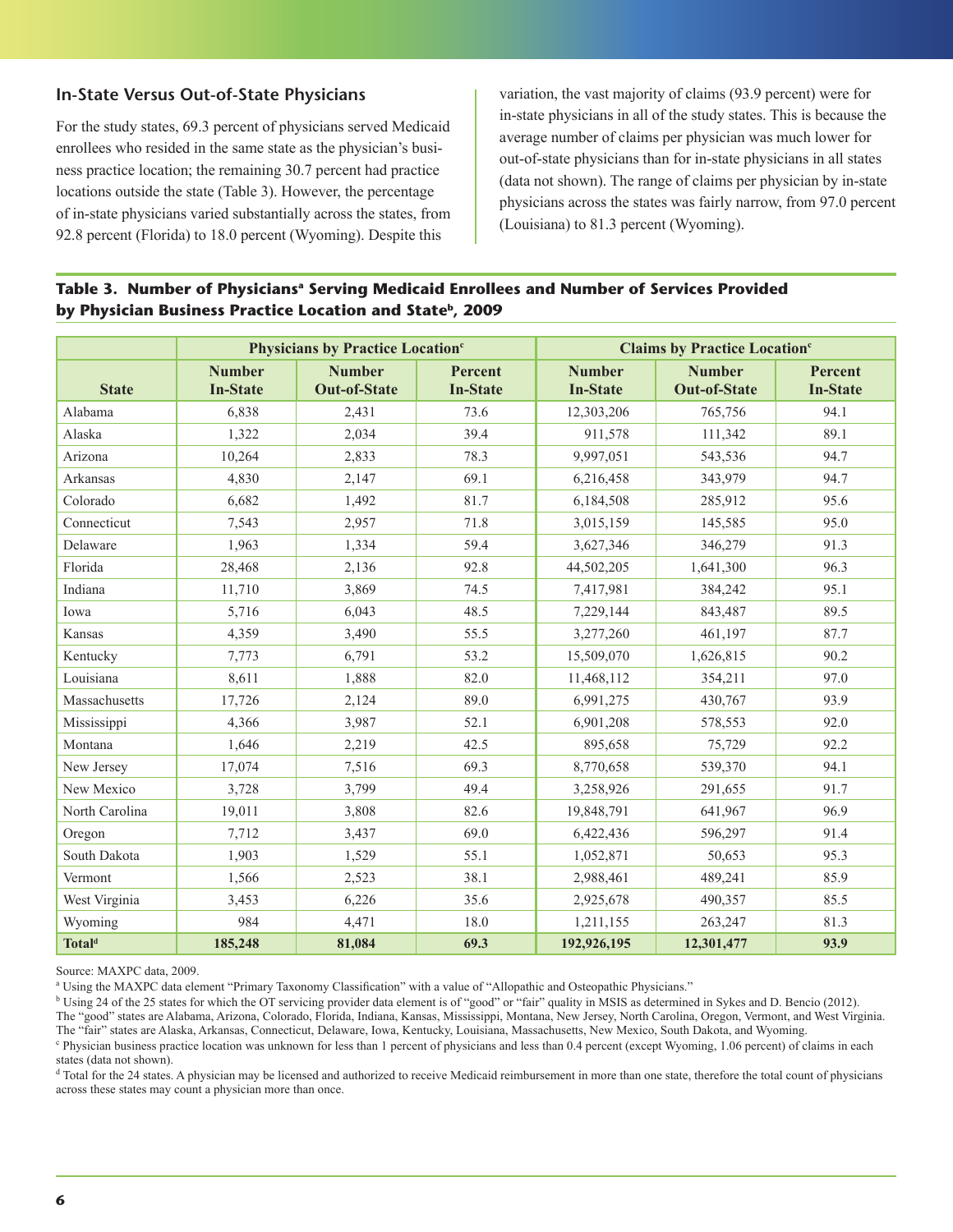### **In-State Versus Out-of-State Physicians**

For the study states, 69.3 percent of physicians served Medicaid enrollees who resided in the same state as the physician's business practice location; the remaining 30.7 percent had practice locations outside the state (Table 3). However, the percentage of in-state physicians varied substantially across the states, from 92.8 percent (Florida) to 18.0 percent (Wyoming). Despite this

variation, the vast majority of claims (93.9 percent) were for in-state physicians in all of the study states. This is because the average number of claims per physician was much lower for out-of-state physicians than for in-state physicians in all states (data not shown). The range of claims per physician by in-state physicians across the states was fairly narrow, from 97.0 percent (Louisiana) to 81.3 percent (Wyoming).

### Table 3. Number of Physicians<sup>a</sup> Serving Medicaid Enrollees and Number of Services Provided **by Physician Business Practice Location and Stateb, 2009**

|                    |                                  | <b>Physicians by Practice Location</b> <sup>c</sup> |                                   | <b>Claims by Practice Location</b> <sup>c</sup> |                                      |                                   |  |
|--------------------|----------------------------------|-----------------------------------------------------|-----------------------------------|-------------------------------------------------|--------------------------------------|-----------------------------------|--|
| <b>State</b>       | <b>Number</b><br><b>In-State</b> | <b>Number</b><br><b>Out-of-State</b>                | <b>Percent</b><br><b>In-State</b> | <b>Number</b><br><b>In-State</b>                | <b>Number</b><br><b>Out-of-State</b> | <b>Percent</b><br><b>In-State</b> |  |
| Alabama            | 6,838                            | 2,431                                               | 73.6                              | 12,303,206                                      | 765,756                              | 94.1                              |  |
| Alaska             | 1,322                            | 2,034                                               | 39.4                              | 911,578                                         | 111,342                              | 89.1                              |  |
| Arizona            | 10,264                           | 2,833                                               | 78.3                              | 9,997,051                                       | 543,536                              | 94.7                              |  |
| Arkansas           | 4,830                            | 2,147                                               | 69.1                              | 6,216,458                                       | 343,979                              | 94.7                              |  |
| Colorado           | 6,682                            | 1,492                                               | 81.7                              | 6,184,508                                       | 285,912                              | 95.6                              |  |
| Connecticut        | 7,543                            | 2,957                                               | 71.8                              | 3,015,159                                       | 145,585                              | 95.0                              |  |
| Delaware           | 1,963                            | 1,334                                               | 59.4                              | 3,627,346                                       | 346,279                              | 91.3                              |  |
| Florida            | 28,468                           | 2,136                                               | 92.8                              | 44,502,205                                      | 1,641,300                            | 96.3                              |  |
| Indiana            | 11,710                           | 3,869                                               | 74.5                              | 7,417,981                                       | 384,242                              | 95.1                              |  |
| Iowa               | 5,716                            | 6,043                                               | 48.5                              | 7,229,144                                       | 843,487                              | 89.5                              |  |
| Kansas             | 4,359                            | 3,490                                               | 55.5                              | 3,277,260                                       | 461,197                              | 87.7                              |  |
| Kentucky           | 7,773                            | 6,791                                               | 53.2                              | 15,509,070                                      | 1,626,815                            | 90.2                              |  |
| Louisiana          | 8,611                            | 1,888                                               | 82.0                              | 11,468,112                                      | 354,211                              | 97.0                              |  |
| Massachusetts      | 17,726                           | 2,124                                               | 89.0                              | 6,991,275                                       | 430,767                              | 93.9                              |  |
| Mississippi        | 4,366                            | 3,987                                               | 52.1                              | 6,901,208                                       | 578,553                              | 92.0                              |  |
| Montana            | 1,646                            | 2,219                                               | 42.5                              | 895,658                                         | 75,729                               | 92.2                              |  |
| New Jersey         | 17,074                           | 7,516                                               | 69.3                              | 8,770,658                                       | 539,370                              | 94.1                              |  |
| New Mexico         | 3,728                            | 3,799                                               | 49.4                              | 3,258,926                                       | 291,655                              | 91.7                              |  |
| North Carolina     | 19,011                           | 3,808                                               | 82.6                              | 19,848,791                                      | 641,967                              | 96.9                              |  |
| Oregon             | 7,712                            | 3,437                                               | 69.0                              | 6,422,436                                       | 596,297                              | 91.4                              |  |
| South Dakota       | 1,903                            | 1,529                                               | 55.1                              | 1,052,871                                       | 50,653                               | 95.3                              |  |
| Vermont            | 1,566                            | 2,523                                               | 38.1                              | 2,988,461                                       | 489,241                              | 85.9                              |  |
| West Virginia      | 3,453                            | 6,226                                               | 35.6                              | 2,925,678                                       | 490,357                              | 85.5                              |  |
| Wyoming            | 984                              | 4,471                                               | 18.0                              | 1,211,155                                       | 263,247                              | 81.3                              |  |
| Total <sup>d</sup> | 185,248                          | 81,084                                              | 69.3                              | 192,926,195                                     | 12,301,477                           | 93.9                              |  |

Source: MAXPC data, 2009.

<sup>a</sup> Using the MAXPC data element "Primary Taxonomy Classification" with a value of "Allopathic and Osteopathic Physicians."

<sup>b</sup> Using 24 of the 25 states for which the OT servicing provider data element is of "good" or "fair" quality in MSIS as determined in Sykes and D. Bencio (2012).

The "good" states are Alabama, Arizona, Colorado, Florida, Indiana, Kansas, Mississippi, Montana, New Jersey, North Carolina, Oregon, Vermont, and West Virginia. The "fair" states are Alaska, Arkansas, Connecticut, Delaware, Iowa, Kentucky, Louisiana, Massachusetts, New Mexico, South Dakota, and Wyoming.

Physician business practice location was unknown for less than 1 percent of physicians and less than 0.4 percent (except Wyoming, 1.06 percent) of claims in each states (data not shown).

<sup>d</sup> Total for the 24 states. A physician may be licensed and authorized to receive Medicaid reimbursement in more than one state, therefore the total count of physicians across these states may count a physician more than once.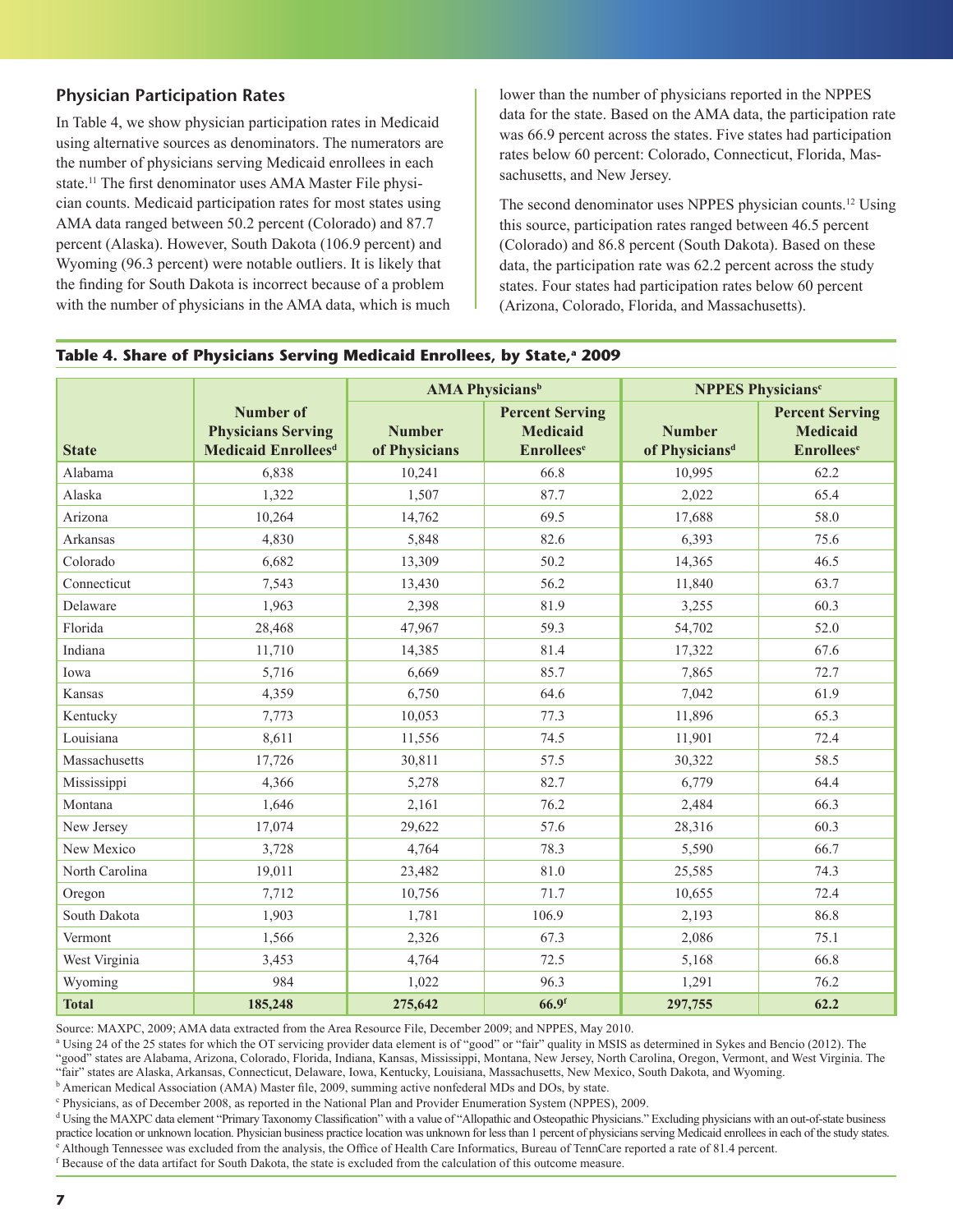### **Physician Participation Rates**

In Table 4, we show physician participation rates in Medicaid using alternative sources as denominators. The numerators are the number of physicians serving Medicaid enrollees in each state.11 The first denominator uses AMA Master File physician counts. Medicaid participation rates for most states using AMA data ranged between 50.2 percent (Colorado) and 87.7 percent (Alaska). However, South Dakota (106.9 percent) and Wyoming (96.3 percent) were notable outliers. It is likely that the finding for South Dakota is incorrect because of a problem with the number of physicians in the AMA data, which is much lower than the number of physicians reported in the NPPES data for the state. Based on the AMA data, the participation rate was 66.9 percent across the states. Five states had participation rates below 60 percent: Colorado, Connecticut, Florida, Massachusetts, and New Jersey.

The second denominator uses NPPES physician counts.12 Using this source, participation rates ranged between 46.5 percent (Colorado) and 86.8 percent (South Dakota). Based on these data, the participation rate was 62.2 percent across the study states. Four states had participation rates below 60 percent (Arizona, Colorado, Florida, and Massachusetts).

|                |                                                                             | <b>AMA Physicians</b> <sup>b</sup> |                                                                            | <b>NPPES Physicians<sup>c</sup></b>         |                                                                            |  |
|----------------|-----------------------------------------------------------------------------|------------------------------------|----------------------------------------------------------------------------|---------------------------------------------|----------------------------------------------------------------------------|--|
| <b>State</b>   | <b>Number of</b><br><b>Physicians Serving</b><br><b>Medicaid Enrolleesd</b> | <b>Number</b><br>of Physicians     | <b>Percent Serving</b><br><b>Medicaid</b><br><b>Enrollees</b> <sup>e</sup> | <b>Number</b><br>of Physicians <sup>d</sup> | <b>Percent Serving</b><br><b>Medicaid</b><br><b>Enrollees</b> <sup>e</sup> |  |
| Alabama        | 6,838                                                                       | 10,241                             | 66.8                                                                       | 10,995                                      | 62.2                                                                       |  |
| Alaska         | 1,322                                                                       | 1,507                              | 87.7                                                                       | 2,022                                       | 65.4                                                                       |  |
| Arizona        | 10,264                                                                      | 14,762                             | 69.5                                                                       | 17,688                                      | 58.0                                                                       |  |
| Arkansas       | 4,830                                                                       | 5,848                              | 82.6                                                                       | 6,393                                       | 75.6                                                                       |  |
| Colorado       | 6,682                                                                       | 13,309                             | 50.2                                                                       | 14,365                                      | 46.5                                                                       |  |
| Connecticut    | 7,543                                                                       | 13,430                             | 56.2                                                                       | 11,840                                      | 63.7                                                                       |  |
| Delaware       | 1,963                                                                       | 2,398                              | 81.9                                                                       | 3,255                                       | 60.3                                                                       |  |
| Florida        | 28,468                                                                      | 47,967                             | 59.3                                                                       | 54,702                                      | 52.0                                                                       |  |
| Indiana        | 11,710                                                                      | 14,385                             | 81.4                                                                       | 17,322                                      | 67.6                                                                       |  |
| Iowa           | 5,716                                                                       | 6,669                              | 85.7                                                                       | 7,865                                       | 72.7                                                                       |  |
| Kansas         | 4,359                                                                       | 6,750                              | 64.6                                                                       | 7,042                                       | 61.9                                                                       |  |
| Kentucky       | 7,773                                                                       | 10,053                             | 77.3                                                                       | 11,896                                      | 65.3                                                                       |  |
| Louisiana      | 8,611                                                                       | 11,556                             | 74.5                                                                       | 11,901                                      | 72.4                                                                       |  |
| Massachusetts  | 17,726                                                                      | 30,811                             | 57.5                                                                       | 30,322                                      | 58.5                                                                       |  |
| Mississippi    | 4,366                                                                       | 5,278                              | 82.7                                                                       | 6,779                                       | 64.4                                                                       |  |
| Montana        | 1,646                                                                       | 2,161                              | 76.2                                                                       | 2,484                                       | 66.3                                                                       |  |
| New Jersey     | 17,074                                                                      | 29,622                             | 57.6                                                                       | 28,316                                      | 60.3                                                                       |  |
| New Mexico     | 3,728                                                                       | 4,764                              | 78.3                                                                       | 5,590                                       | 66.7                                                                       |  |
| North Carolina | 19,011                                                                      | 23,482                             | 81.0                                                                       | 25,585                                      | 74.3                                                                       |  |
| Oregon         | 7,712                                                                       | 10,756                             | 71.7                                                                       | 10,655                                      | 72.4                                                                       |  |
| South Dakota   | 1,903                                                                       | 1,781                              | 106.9                                                                      | 2,193                                       | 86.8                                                                       |  |
| Vermont        | 1,566                                                                       | 2,326                              | 67.3                                                                       | 2,086                                       | 75.1                                                                       |  |
| West Virginia  | 3,453                                                                       | 4,764                              | 72.5                                                                       | 5,168                                       | 66.8                                                                       |  |
| Wyoming        | 984                                                                         | 1,022                              | 96.3                                                                       | 1,291                                       | 76.2                                                                       |  |
| <b>Total</b>   | 185,248                                                                     | 275,642                            | 66.9 <sup>f</sup>                                                          | 297,755                                     | 62.2                                                                       |  |

### Table 4. Share of Physicians Serving Medicaid Enrollees, by State,<sup>a</sup> 2009

Source: MAXPC, 2009; AMA data extracted from the Area Resource File, December 2009; and NPPES, May 2010.

<sup>a</sup> Using 24 of the 25 states for which the OT servicing provider data element is of "good" or "fair" quality in MSIS as determined in Sykes and Bencio (2012). The "good" states are Alabama, Arizona, Colorado, Florida, Indiana, Kansas, Mississippi, Montana, New Jersey, North Carolina, Oregon, Vermont, and West Virginia. The "fair" states are Alaska, Arkansas, Connecticut, Delaware, Iowa, Kentucky, Louisiana, Massachusetts, New Mexico, South Dakota, and Wyoming.

<sup>b</sup> American Medical Association (AMA) Master file, 2009, summing active nonfederal MDs and DOs, by state.

<sup>c</sup> Physicians, as of December 2008, as reported in the National Plan and Provider Enumeration System (NPPES), 2009.

<sup>d</sup> Using the MAXPC data element "Primary Taxonomy Classification" with a value of "Allopathic and Osteopathic Physicians." Excluding physicians with an out-of-state business practice location or unknown location. Physician business practice location was unknown for less than 1 percent of physicians serving Medicaid enrollees in each of the study states. <sup>e</sup> Although Tennessee was excluded from the analysis, the Office of Health Care Informatics, Bureau of TennCare reported a rate of 81.4 percent.

f Because of the data artifact for South Dakota, the state is excluded from the calculation of this outcome measure.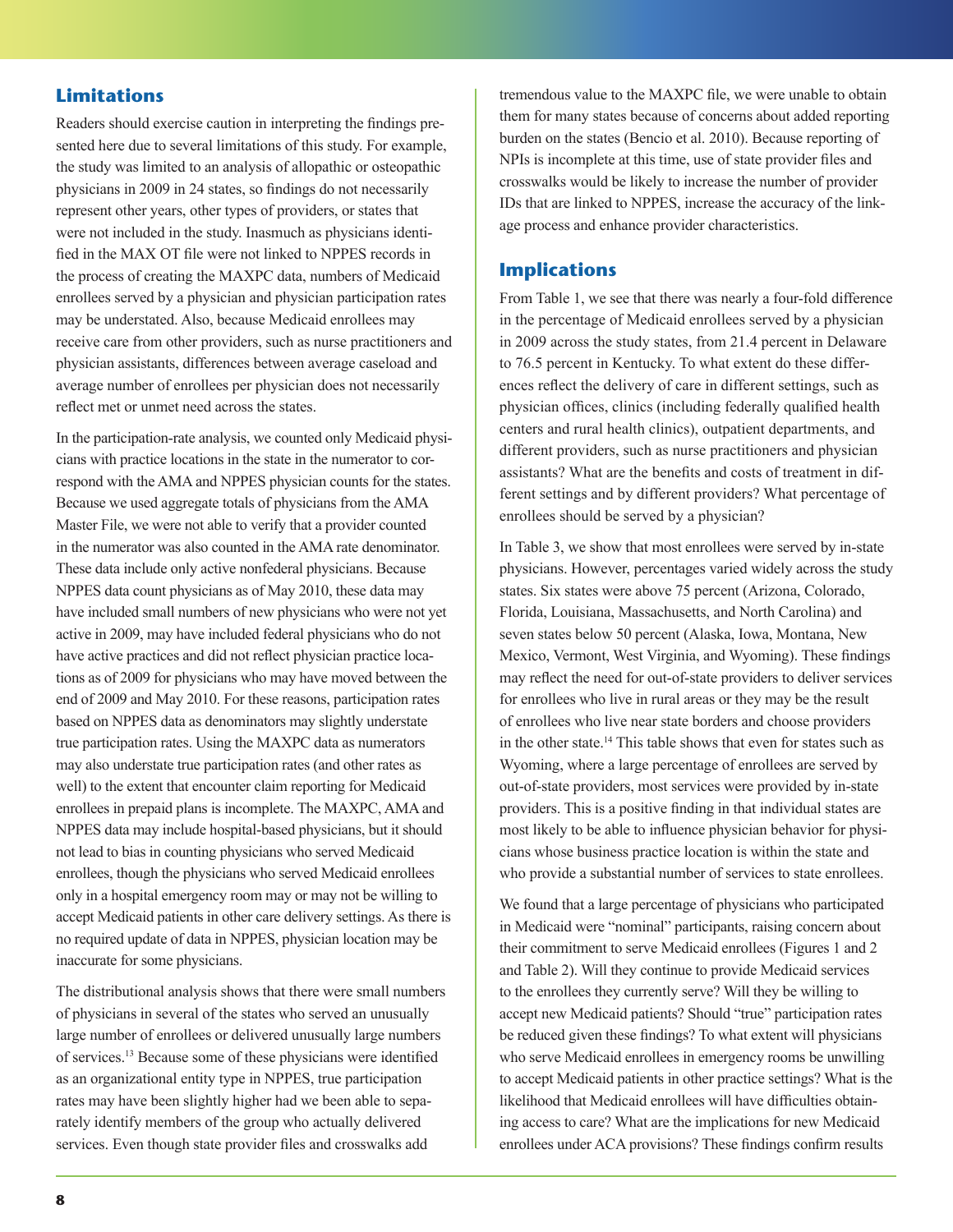### **Limitations**

Readers should exercise caution in interpreting the findings presented here due to several limitations of this study. For example, the study was limited to an analysis of allopathic or osteopathic physicians in 2009 in 24 states, so findings do not necessarily represent other years, other types of providers, or states that were not included in the study. Inasmuch as physicians identified in the MAX OT file were not linked to NPPES records in the process of creating the MAXPC data, numbers of Medicaid enrollees served by a physician and physician participation rates may be understated. Also, because Medicaid enrollees may receive care from other providers, such as nurse practitioners and physician assistants, differences between average caseload and average number of enrollees per physician does not necessarily reflect met or unmet need across the states.

In the participation-rate analysis, we counted only Medicaid physicians with practice locations in the state in the numerator to correspond with the AMA and NPPES physician counts for the states. Because we used aggregate totals of physicians from the AMA Master File, we were not able to verify that a provider counted in the numerator was also counted in the AMA rate denominator. These data include only active nonfederal physicians. Because NPPES data count physicians as of May 2010, these data may have included small numbers of new physicians who were not yet active in 2009, may have included federal physicians who do not have active practices and did not reflect physician practice locations as of 2009 for physicians who may have moved between the end of 2009 and May 2010. For these reasons, participation rates based on NPPES data as denominators may slightly understate true participation rates. Using the MAXPC data as numerators may also understate true participation rates (and other rates as well) to the extent that encounter claim reporting for Medicaid enrollees in prepaid plans is incomplete. The MAXPC, AMA and NPPES data may include hospital-based physicians, but it should not lead to bias in counting physicians who served Medicaid enrollees, though the physicians who served Medicaid enrollees only in a hospital emergency room may or may not be willing to accept Medicaid patients in other care delivery settings. As there is no required update of data in NPPES, physician location may be inaccurate for some physicians.

The distributional analysis shows that there were small numbers of physicians in several of the states who served an unusually large number of enrollees or delivered unusually large numbers of services.13 Because some of these physicians were identified as an organizational entity type in NPPES, true participation rates may have been slightly higher had we been able to separately identify members of the group who actually delivered services. Even though state provider files and crosswalks add

tremendous value to the MAXPC file, we were unable to obtain them for many states because of concerns about added reporting burden on the states (Bencio et al. 2010). Because reporting of NPIs is incomplete at this time, use of state provider files and crosswalks would be likely to increase the number of provider IDs that are linked to NPPES, increase the accuracy of the linkage process and enhance provider characteristics.

### **Implications**

From Table 1, we see that there was nearly a four-fold difference in the percentage of Medicaid enrollees served by a physician in 2009 across the study states, from 21.4 percent in Delaware to 76.5 percent in Kentucky. To what extent do these differences reflect the delivery of care in different settings, such as physician offices, clinics (including federally qualified health centers and rural health clinics), outpatient departments, and different providers, such as nurse practitioners and physician assistants? What are the benefits and costs of treatment in different settings and by different providers? What percentage of enrollees should be served by a physician?

In Table 3, we show that most enrollees were served by in-state physicians. However, percentages varied widely across the study states. Six states were above 75 percent (Arizona, Colorado, Florida, Louisiana, Massachusetts, and North Carolina) and seven states below 50 percent (Alaska, Iowa, Montana, New Mexico, Vermont, West Virginia, and Wyoming). These findings may reflect the need for out-of-state providers to deliver services for enrollees who live in rural areas or they may be the result of enrollees who live near state borders and choose providers in the other state.14 This table shows that even for states such as Wyoming, where a large percentage of enrollees are served by out-of-state providers, most services were provided by in-state providers. This is a positive finding in that individual states are most likely to be able to influence physician behavior for physicians whose business practice location is within the state and who provide a substantial number of services to state enrollees.

We found that a large percentage of physicians who participated in Medicaid were "nominal" participants, raising concern about their commitment to serve Medicaid enrollees (Figures 1 and 2 and Table 2). Will they continue to provide Medicaid services to the enrollees they currently serve? Will they be willing to accept new Medicaid patients? Should "true" participation rates be reduced given these findings? To what extent will physicians who serve Medicaid enrollees in emergency rooms be unwilling to accept Medicaid patients in other practice settings? What is the likelihood that Medicaid enrollees will have difficulties obtaining access to care? What are the implications for new Medicaid enrollees under ACA provisions? These findings confirm results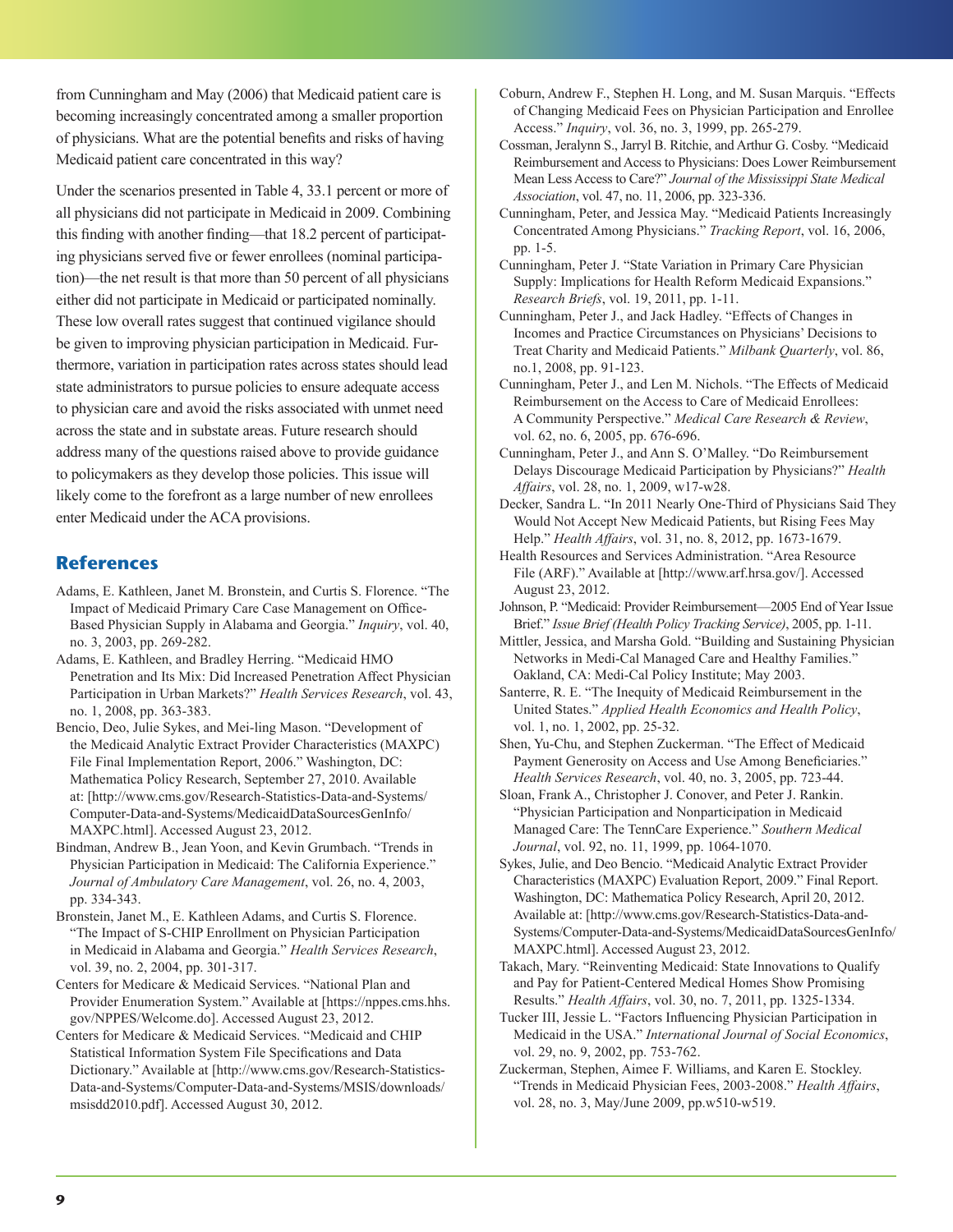from Cunningham and May (2006) that Medicaid patient care is becoming increasingly concentrated among a smaller proportion of physicians. What are the potential benefits and risks of having Medicaid patient care concentrated in this way?

Under the scenarios presented in Table 4, 33.1 percent or more of all physicians did not participate in Medicaid in 2009. Combining this finding with another finding—that 18.2 percent of participating physicians served five or fewer enrollees (nominal participation)—the net result is that more than 50 percent of all physicians either did not participate in Medicaid or participated nominally. These low overall rates suggest that continued vigilance should be given to improving physician participation in Medicaid. Furthermore, variation in participation rates across states should lead state administrators to pursue policies to ensure adequate access to physician care and avoid the risks associated with unmet need across the state and in substate areas. Future research should address many of the questions raised above to provide guidance to policymakers as they develop those policies. This issue will likely come to the forefront as a large number of new enrollees enter Medicaid under the ACA provisions.

### **References**

- Adams, E. Kathleen, Janet M. Bronstein, and Curtis S. Florence. "The Impact of Medicaid Primary Care Case Management on Office-Based Physician Supply in Alabama and Georgia." *Inquiry*, vol. 40, no. 3, 2003, pp. 269-282.
- Adams, E. Kathleen, and Bradley Herring. "Medicaid HMO Penetration and Its Mix: Did Increased Penetration Affect Physician Participation in Urban Markets?" *Health Services Research*, vol. 43, no. 1, 2008, pp. 363-383.
- Bencio, Deo, Julie Sykes, and Mei-ling Mason. "Development of the Medicaid Analytic Extract Provider Characteristics (MAXPC) File Final Implementation Report, 2006." Washington, DC: Mathematica Policy Research, September 27, 2010. Available at: [\[http://www.cms.gov/Research-Statistics-Data-and-Systems/](http://www.cms.gov/Research-Statistics-Data-and-Systems/Computer-Data-and-Systems/MedicaidDataSourcesGenInfo/MAXPC.html) [Computer-Data-and-Systems/MedicaidDataSourcesGenInfo/](http://www.cms.gov/Research-Statistics-Data-and-Systems/Computer-Data-and-Systems/MedicaidDataSourcesGenInfo/MAXPC.html) [MAXPC.html\]](http://www.cms.gov/Research-Statistics-Data-and-Systems/Computer-Data-and-Systems/MedicaidDataSourcesGenInfo/MAXPC.html). Accessed August 23, 2012.
- Bindman, Andrew B., Jean Yoon, and Kevin Grumbach. "Trends in Physician Participation in Medicaid: The California Experience." *Journal of Ambulatory Care Management*, vol. 26, no. 4, 2003, pp. 334-343.
- Bronstein, Janet M., E. Kathleen Adams, and Curtis S. Florence. "The Impact of S-CHIP Enrollment on Physician Participation in Medicaid in Alabama and Georgia." *Health Services Research*, vol. 39, no. 2, 2004, pp. 301-317.
- Centers for Medicare & Medicaid Services. "National Plan and Provider Enumeration System." Available at [[https://nppes.cms.hhs.](https://nppes.cms.hhs.gov/NPPES/Welcome.do) [gov/NPPES/Welcome.do\]](https://nppes.cms.hhs.gov/NPPES/Welcome.do). Accessed August 23, 2012.
- Centers for Medicare & Medicaid Services. "Medicaid and CHIP Statistical Information System File Specifications and Data Dictionary." Available at [\[http://www.cms.gov/Research-Statistics-](http://www.cms.gov/Research-Statistics-Data-and-Systems/Computer-Data-and-Systems/MSIS/downloads/msisdd2010.pdf)[Data-and-Systems/Computer-Data-and-Systems/MSIS/downloads/](http://www.cms.gov/Research-Statistics-Data-and-Systems/Computer-Data-and-Systems/MSIS/downloads/msisdd2010.pdf) [msisdd2010.pdf\]](http://www.cms.gov/Research-Statistics-Data-and-Systems/Computer-Data-and-Systems/MSIS/downloads/msisdd2010.pdf). Accessed August 30, 2012.
- Coburn, Andrew F., Stephen H. Long, and M. Susan Marquis. "Effects of Changing Medicaid Fees on Physician Participation and Enrollee Access." *Inquiry*, vol. 36, no. 3, 1999, pp. 265-279.
- Cossman, Jeralynn S., Jarryl B. Ritchie, and Arthur G. Cosby. "Medicaid Reimbursement and Access to Physicians: Does Lower Reimbursement Mean Less Access to Care?" *Journal of the Mississippi State Medical Association*, vol. 47, no. 11, 2006, pp. 323-336.
- Cunningham, Peter, and Jessica May. "Medicaid Patients Increasingly Concentrated Among Physicians." *Tracking Report*, vol. 16, 2006, pp. 1-5.
- Cunningham, Peter J. "State Variation in Primary Care Physician Supply: Implications for Health Reform Medicaid Expansions." *Research Briefs*, vol. 19, 2011, pp. 1-11.
- Cunningham, Peter J., and Jack Hadley. "Effects of Changes in Incomes and Practice Circumstances on Physicians' Decisions to Treat Charity and Medicaid Patients." *Milbank Quarterly*, vol. 86, no.1, 2008, pp. 91-123.
- Cunningham, Peter J., and Len M. Nichols. "The Effects of Medicaid Reimbursement on the Access to Care of Medicaid Enrollees: A Community Perspective." *Medical Care Research & Review*, vol. 62, no. 6, 2005, pp. 676-696.
- Cunningham, Peter J., and Ann S. O'Malley. "Do Reimbursement Delays Discourage Medicaid Participation by Physicians?" *Health Affairs*, vol. 28, no. 1, 2009, w17-w28.
- Decker, Sandra L. "In 2011 Nearly One-Third of Physicians Said They Would Not Accept New Medicaid Patients, but Rising Fees May Help." *Health Affairs*, vol. 31, no. 8, 2012, pp. 1673-1679.
- Health Resources and Services Administration. "Area Resource File (ARF)." Available at [\[http://www.arf.hrsa.gov/](http://www.arf.hrsa.gov/)]. Accessed August 23, 2012.
- Johnson, P. "Medicaid: Provider Reimbursement—2005 End of Year Issue Brief." *Issue Brief (Health Policy Tracking Service)*, 2005, pp. 1-11.
- Mittler, Jessica, and Marsha Gold. "Building and Sustaining Physician Networks in Medi-Cal Managed Care and Healthy Families." Oakland, CA: Medi-Cal Policy Institute; May 2003.
- Santerre, R. E. "The Inequity of Medicaid Reimbursement in the United States." *Applied Health Economics and Health Policy*, vol. 1, no. 1, 2002, pp. 25-32.
- Shen, Yu-Chu, and Stephen Zuckerman. "The Effect of Medicaid Payment Generosity on Access and Use Among Beneficiaries." *Health Services Research*, vol. 40, no. 3, 2005, pp. 723-44.
- Sloan, Frank A., Christopher J. Conover, and Peter J. Rankin. "Physician Participation and Nonparticipation in Medicaid Managed Care: The TennCare Experience." *Southern Medical Journal*, vol. 92, no. 11, 1999, pp. 1064-1070.
- Sykes, Julie, and Deo Bencio. "Medicaid Analytic Extract Provider Characteristics (MAXPC) Evaluation Report, 2009." Final Report. Washington, DC: Mathematica Policy Research, April 20, 2012. Available at: [\[http://www.cms.gov/Research-Statistics-Data-and-](http://www.cms.gov/Research-Statistics-Data-and-Systems/Computer-Data-and-Systems/MedicaidDataSourcesGenInfo/MAXPC.html)[Systems/Computer-Data-and-Systems/MedicaidDataSourcesGenInfo/](http://www.cms.gov/Research-Statistics-Data-and-Systems/Computer-Data-and-Systems/MedicaidDataSourcesGenInfo/MAXPC.html) [MAXPC.html\]](http://www.cms.gov/Research-Statistics-Data-and-Systems/Computer-Data-and-Systems/MedicaidDataSourcesGenInfo/MAXPC.html). Accessed August 23, 2012.
- Takach, Mary. "Reinventing Medicaid: State Innovations to Qualify and Pay for Patient-Centered Medical Homes Show Promising Results." *Health Affairs*, vol. 30, no. 7, 2011, pp. 1325-1334.
- Tucker III, Jessie L. "Factors Influencing Physician Participation in Medicaid in the USA." *International Journal of Social Economics*, vol. 29, no. 9, 2002, pp. 753-762.
- Zuckerman, Stephen, Aimee F. Williams, and Karen E. Stockley. "Trends in Medicaid Physician Fees, 2003-2008." *Health Affairs*, vol. 28, no. 3, May/June 2009, pp.w510-w519.